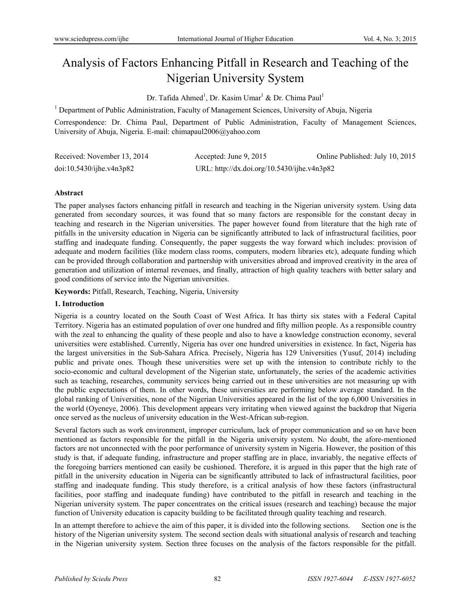# Analysis of Factors Enhancing Pitfall in Research and Teaching of the Nigerian University System

Dr. Tafida Ahmed<sup>1</sup>, Dr. Kasim Umar<sup>1</sup> & Dr. Chima Paul<sup>1</sup>

<sup>1</sup> Department of Public Administration, Faculty of Management Sciences, University of Abuja, Nigeria

Correspondence: Dr. Chima Paul, Department of Public Administration, Faculty of Management Sciences, University of Abuja, Nigeria. E-mail: chimapaul2006@yahoo.com

| Received: November 13, 2014 | Accepted: June 9, 2015                      | Online Published: July 10, 2015 |
|-----------------------------|---------------------------------------------|---------------------------------|
| doi:10.5430/ijhe.v4n3p82    | URL: http://dx.doi.org/10.5430/ijhe.v4n3p82 |                                 |

## **Abstract**

The paper analyses factors enhancing pitfall in research and teaching in the Nigerian university system. Using data generated from secondary sources, it was found that so many factors are responsible for the constant decay in teaching and research in the Nigerian universities. The paper however found from literature that the high rate of pitfalls in the university education in Nigeria can be significantly attributed to lack of infrastructural facilities, poor staffing and inadequate funding. Consequently, the paper suggests the way forward which includes: provision of adequate and modern facilities (like modern class rooms, computers, modern libraries etc), adequate funding which can be provided through collaboration and partnership with universities abroad and improved creativity in the area of generation and utilization of internal revenues, and finally, attraction of high quality teachers with better salary and good conditions of service into the Nigerian universities.

**Keywords:** Pitfall, Research, Teaching, Nigeria, University

#### **1. Introduction**

Nigeria is a country located on the South Coast of West Africa. It has thirty six states with a Federal Capital Territory. Nigeria has an estimated population of over one hundred and fifty million people. As a responsible country with the zeal to enhancing the quality of these people and also to have a knowledge construction economy, several universities were established. Currently, Nigeria has over one hundred universities in existence. In fact, Nigeria has the largest universities in the Sub-Sahara Africa. Precisely, Nigeria has 129 Universities (Yusuf, 2014) including public and private ones. Though these universities were set up with the intension to contribute richly to the socio-economic and cultural development of the Nigerian state, unfortunately, the series of the academic activities such as teaching, researches, community services being carried out in these universities are not measuring up with the public expectations of them. In other words, these universities are performing below average standard. In the global ranking of Universities, none of the Nigerian Universities appeared in the list of the top 6,000 Universities in the world (Oyeneye, 2006). This development appears very irritating when viewed against the backdrop that Nigeria once served as the nucleus of university education in the West-African sub-region.

Several factors such as work environment, improper curriculum, lack of proper communication and so on have been mentioned as factors responsible for the pitfall in the Nigeria university system. No doubt, the afore-mentioned factors are not unconnected with the poor performance of university system in Nigeria. However, the position of this study is that, if adequate funding, infrastructure and proper staffing are in place, invariably, the negative effects of the foregoing barriers mentioned can easily be cushioned. Therefore, it is argued in this paper that the high rate of pitfall in the university education in Nigeria can be significantly attributed to lack of infrastructural facilities, poor staffing and inadequate funding. This study therefore, is a critical analysis of how these factors (infrastructural facilities, poor staffing and inadequate funding) have contributed to the pitfall in research and teaching in the Nigerian university system. The paper concentrates on the critical issues (research and teaching) because the major function of University education is capacity building to be facilitated through quality teaching and research.

In an attempt therefore to achieve the aim of this paper, it is divided into the following sections. Section one is the history of the Nigerian university system. The second section deals with situational analysis of research and teaching in the Nigerian university system. Section three focuses on the analysis of the factors responsible for the pitfall.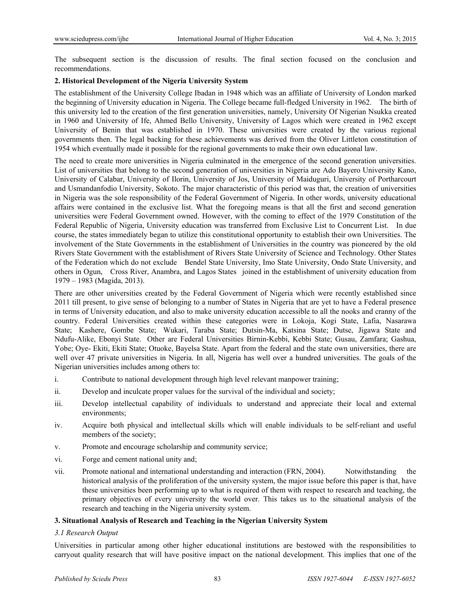The subsequent section is the discussion of results. The final section focused on the conclusion and recommendations.

## **2. Historical Development of the Nigeria University System**

The establishment of the University College Ibadan in 1948 which was an affiliate of University of London marked the beginning of University education in Nigeria. The College became full-fledged University in 1962. The birth of this university led to the creation of the first generation universities, namely, University Of Nigerian Nsukka created in 1960 and University of Ife, Ahmed Bello University, University of Lagos which were created in 1962 except University of Benin that was established in 1970. These universities were created by the various regional governments then. The legal backing for these achievements was derived from the Oliver Littleton constitution of 1954 which eventually made it possible for the regional governments to make their own educational law.

The need to create more universities in Nigeria culminated in the emergence of the second generation universities. List of universities that belong to the second generation of universities in Nigeria are Ado Bayero University Kano, University of Calabar, University of Ilorin, University of Jos, University of Maiduguri, University of Portharcourt and Usmandanfodio University, Sokoto. The major characteristic of this period was that, the creation of universities in Nigeria was the sole responsibility of the Federal Government of Nigeria. In other words, university educational affairs were contained in the exclusive list. What the foregoing means is that all the first and second generation universities were Federal Government owned. However, with the coming to effect of the 1979 Constitution of the Federal Republic of Nigeria, University education was transferred from Exclusive List to Concurrent List. In due course, the states immediately began to utilize this constitutional opportunity to establish their own Universities. The involvement of the State Governments in the establishment of Universities in the country was pioneered by the old Rivers State Government with the establishment of Rivers State University of Science and Technology. Other States of the Federation which do not exclude Bendel State University, Imo State University, Ondo State University, and others in Ogun, Cross River, Anambra, and Lagos States joined in the establishment of university education from 1979 – 1983 (Magida, 2013).

There are other universities created by the Federal Government of Nigeria which were recently established since 2011 till present, to give sense of belonging to a number of States in Nigeria that are yet to have a Federal presence in terms of University education, and also to make university education accessible to all the nooks and cranny of the country. Federal Universities created within these categories were in Lokoja, Kogi State, Lafia, Nasarawa State; Kashere, Gombe State; Wukari, Taraba State; Dutsin-Ma, Katsina State; Dutse, Jigawa State and Ndufu-Alike, Ebonyi State. Other are Federal Universities Birnin-Kebbi, Kebbi State; Gusau, Zamfara; Gashua, Yobe; Oye- Ekiti, Ekiti State; Otuoke, Bayelsa State. Apart from the federal and the state own universities, there are well over 47 private universities in Nigeria. In all, Nigeria has well over a hundred universities. The goals of the Nigerian universities includes among others to:

- i. Contribute to national development through high level relevant manpower training;
- ii. Develop and inculcate proper values for the survival of the individual and society;
- iii. Develop intellectual capability of individuals to understand and appreciate their local and external environments;
- iv. Acquire both physical and intellectual skills which will enable individuals to be self-reliant and useful members of the society;
- v. Promote and encourage scholarship and community service;
- vi. Forge and cement national unity and;
- vii. Promote national and international understanding and interaction (FRN, 2004). Notwithstanding the historical analysis of the proliferation of the university system, the major issue before this paper is that, have these universities been performing up to what is required of them with respect to research and teaching, the primary objectives of every university the world over. This takes us to the situational analysis of the research and teaching in the Nigeria university system.

## **3. Situational Analysis of Research and Teaching in the Nigerian University System**

#### *3.1 Research Output*

Universities in particular among other higher educational institutions are bestowed with the responsibilities to carryout quality research that will have positive impact on the national development. This implies that one of the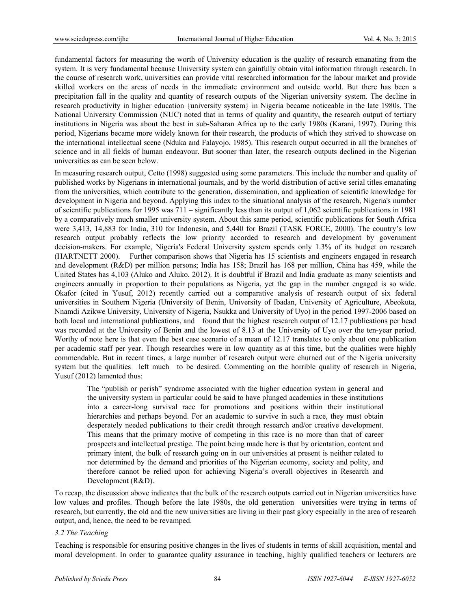fundamental factors for measuring the worth of University education is the quality of research emanating from the system. It is very fundamental because University system can gainfully obtain vital information through research. In the course of research work, universities can provide vital researched information for the labour market and provide skilled workers on the areas of needs in the immediate environment and outside world. But there has been a precipitation fall in the quality and quantity of research outputs of the Nigerian university system. The decline in research productivity in higher education {university system} in Nigeria became noticeable in the late 1980s. The National University Commission (NUC) noted that in terms of quality and quantity, the research output of tertiary institutions in Nigeria was about the best in sub-Saharan Africa up to the early 1980s (Karani, 1997). During this period, Nigerians became more widely known for their research, the products of which they strived to showcase on the international intellectual scene (Nduka and Falayojo, 1985). This research output occurred in all the branches of science and in all fields of human endeavour. But sooner than later, the research outputs declined in the Nigerian universities as can be seen below.

In measuring research output, Cetto (1998) suggested using some parameters. This include the number and quality of published works by Nigerians in international journals, and by the world distribution of active serial titles emanating from the universities, which contribute to the generation, dissemination, and application of scientific knowledge for development in Nigeria and beyond. Applying this index to the situational analysis of the research, Nigeria's number of scientific publications for 1995 was 711 – significantly less than its output of 1,062 scientific publications in 1981 by a comparatively much smaller university system. About this same period, scientific publications for South Africa were 3,413, 14,883 for India, 310 for Indonesia, and 5,440 for Brazil (TASK FORCE, 2000). The country's low research output probably reflects the low priority accorded to research and development by government decision-makers. For example, Nigeria's Federal University system spends only 1.3% of its budget on research (HARTNETT 2000). Further comparison shows that Nigeria has 15 scientists and engineers engaged in research and development (R&D) per million persons; India has 158; Brazil has 168 per million, China has 459, while the United States has 4,103 (Aluko and Aluko, 2012). It is doubtful if Brazil and India graduate as many scientists and engineers annually in proportion to their populations as Nigeria, yet the gap in the number engaged is so wide. Okafor (cited in Yusuf, 2012) recently carried out a comparative analysis of research output of six federal universities in Southern Nigeria (University of Benin, University of Ibadan, University of Agriculture, Abeokuta, Nnamdi Azikwe University, University of Nigeria, Nsukka and University of Uyo) in the period 1997-2006 based on both local and international publications, and found that the highest research output of 12.17 publications per head was recorded at the University of Benin and the lowest of 8.13 at the University of Uyo over the ten-year period. Worthy of note here is that even the best case scenario of a mean of 12.17 translates to only about one publication per academic staff per year. Though researches were in low quantity as at this time, but the qualities were highly commendable. But in recent times, a large number of research output were churned out of the Nigeria university system but the qualities left much to be desired. Commenting on the horrible quality of research in Nigeria, Yusuf (2012) lamented thus:

The "publish or perish" syndrome associated with the higher education system in general and the university system in particular could be said to have plunged academics in these institutions into a career-long survival race for promotions and positions within their institutional hierarchies and perhaps beyond. For an academic to survive in such a race, they must obtain desperately needed publications to their credit through research and/or creative development. This means that the primary motive of competing in this race is no more than that of career prospects and intellectual prestige. The point being made here is that by orientation, content and primary intent, the bulk of research going on in our universities at present is neither related to nor determined by the demand and priorities of the Nigerian economy, society and polity, and therefore cannot be relied upon for achieving Nigeria's overall objectives in Research and Development (R&D).

To recap, the discussion above indicates that the bulk of the research outputs carried out in Nigerian universities have low values and profiles. Though before the late 1980s, the old generation universities were trying in terms of research, but currently, the old and the new universities are living in their past glory especially in the area of research output, and, hence, the need to be revamped.

#### *3.2 The Teaching*

Teaching is responsible for ensuring positive changes in the lives of students in terms of skill acquisition, mental and moral development. In order to guarantee quality assurance in teaching, highly qualified teachers or lecturers are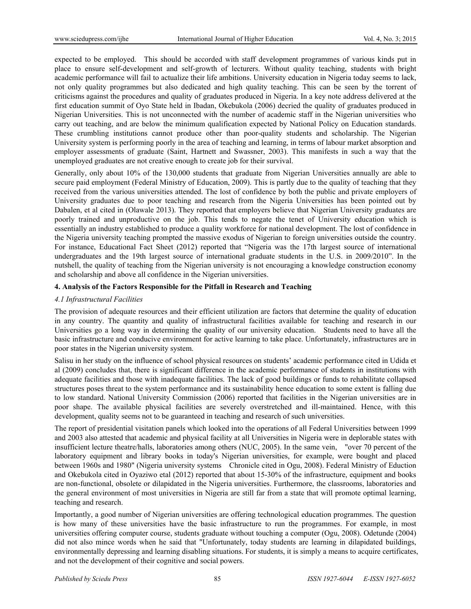expected to be employed. This should be accorded with staff development programmes of various kinds put in place to ensure self-development and self-growth of lecturers. Without quality teaching, students with bright academic performance will fail to actualize their life ambitions. University education in Nigeria today seems to lack, not only quality programmes but also dedicated and high quality teaching. This can be seen by the torrent of criticisms against the procedures and quality of graduates produced in Nigeria. In a key note address delivered at the first education summit of Oyo State held in Ibadan, Okebukola (2006) decried the quality of graduates produced in Nigerian Universities. This is not unconnected with the number of academic staff in the Nigerian universities who carry out teaching, and are below the minimum qualification expected by National Policy on Education standards. These crumbling institutions cannot produce other than poor-quality students and scholarship. The Nigerian University system is performing poorly in the area of teaching and learning, in terms of labour market absorption and employer assessments of graduate (Saint, Hartnett and Swassner, 2003). This manifests in such a way that the unemployed graduates are not creative enough to create job for their survival.

Generally, only about 10% of the 130,000 students that graduate from Nigerian Universities annually are able to secure paid employment (Federal Ministry of Education, 2009). This is partly due to the quality of teaching that they received from the various universities attended. The lost of confidence by both the public and private employers of University graduates due to poor teaching and research from the Nigeria Universities has been pointed out by Dabalen, et al cited in (Olawale 2013). They reported that employers believe that Nigerian University graduates are poorly trained and unproductive on the job. This tends to negate the tenet of University education which is essentially an industry established to produce a quality workforce for national development. The lost of confidence in the Nigeria university teaching prompted the massive exodus of Nigerian to foreign universities outside the country. For instance, Educational Fact Sheet (2012) reported that "Nigeria was the 17th largest source of international undergraduates and the 19th largest source of international graduate students in the U.S. in 2009/2010". In the nutshell, the quality of teaching from the Nigerian university is not encouraging a knowledge construction economy and scholarship and above all confidence in the Nigerian universities.

## **4. Analysis of the Factors Responsible for the Pitfall in Research and Teaching**

## *4.1 Infrastructural Facilities*

The provision of adequate resources and their efficient utilization are factors that determine the quality of education in any country. The quantity and quality of infrastructural facilities available for teaching and research in our Universities go a long way in determining the quality of our university education. Students need to have all the basic infrastructure and conducive environment for active learning to take place. Unfortunately, infrastructures are in poor states in the Nigerian university system.

Salisu in her study on the influence of school physical resources on students' academic performance cited in Udida et al (2009) concludes that, there is significant difference in the academic performance of students in institutions with adequate facilities and those with inadequate facilities. The lack of good buildings or funds to rehabilitate collapsed structures poses threat to the system performance and its sustainability hence education to some extent is falling due to low standard. National University Commission (2006) reported that facilities in the Nigerian universities are in poor shape. The available physical facilities are severely overstretched and ill-maintained. Hence, with this development, quality seems not to be guaranteed in teaching and research of such universities.

The report of presidential visitation panels which looked into the operations of all Federal Universities between 1999 and 2003 also attested that academic and physical facility at all Universities in Nigeria were in deplorable states with insufficient lecture theatre/halls, laboratories among others (NUC, 2005). In the same vein, "over 70 percent of the laboratory equipment and library books in today's Nigerian universities, for example, were bought and placed between 1960s and 1980" (Nigeria university systems Chronicle cited in Ogu, 2008). Federal Ministry of Eduction and Okebukola cited in Oyaziwo etal (2012) reported that about 15-30% of the infrastructure, equipment and books are non-functional, obsolete or dilapidated in the Nigeria universities. Furthermore, the classrooms, laboratories and the general environment of most universities in Nigeria are still far from a state that will promote optimal learning, teaching and research.

Importantly, a good number of Nigerian universities are offering technological education programmes. The question is how many of these universities have the basic infrastructure to run the programmes. For example, in most universities offering computer course, students graduate without touching a computer (Ogu, 2008). Odetunde (2004) did not also mince words when he said that "Unfortunately, today students are learning in dilapidated buildings, environmentally depressing and learning disabling situations. For students, it is simply a means to acquire certificates, and not the development of their cognitive and social powers.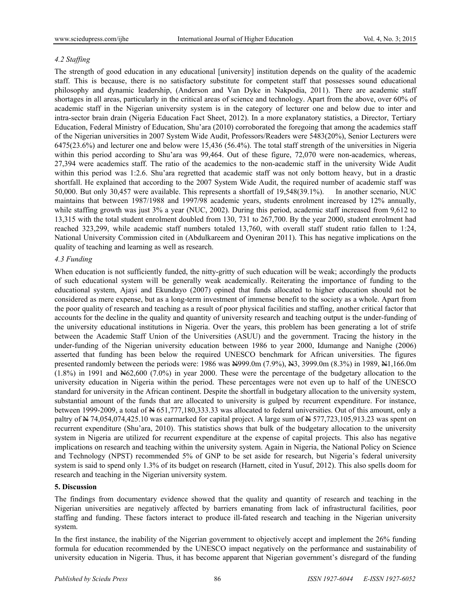# *4.2 Staffing*

The strength of good education in any educational [university] institution depends on the quality of the academic staff. This is because, there is no satisfactory substitute for competent staff that possesses sound educational philosophy and dynamic leadership, (Anderson and Van Dyke in Nakpodia, 2011). There are academic staff shortages in all areas, particularly in the critical areas of science and technology. Apart from the above, over 60% of academic staff in the Nigerian university system is in the category of lecturer one and below due to inter and intra-sector brain drain (Nigeria Education Fact Sheet, 2012). In a more explanatory statistics, a Director, Tertiary Education, Federal Ministry of Education, Shu'ara (2010) corroborated the foregoing that among the academics staff of the Nigerian universities in 2007 System Wide Audit, Professors/Readers were 5483(20%), Senior Lecturers were 6475(23.6%) and lecturer one and below were 15,436 (56.4%). The total staff strength of the universities in Nigeria within this period according to Shu'ara was 99,464. Out of these figure, 72,070 were non-academics, whereas, 27,394 were academics staff. The ratio of the academics to the non-academic staff in the university Wide Audit within this period was 1:2.6. Shu'ara regretted that academic staff was not only bottom heavy, but in a drastic shortfall. He explained that according to the 2007 System Wide Audit, the required number of academic staff was 50,000. But only 30,457 were available. This represents a shortfall of 19,548(39.1%). In another scenario, NUC maintains that between 1987/1988 and 1997/98 academic years, students enrolment increased by 12% annually, while staffing growth was just 3% a year (NUC, 2002). During this period, academic staff increased from 9,612 to 13,315 with the total student enrolment doubled from 130, 731 to 267,700. By the year 2000, student enrolment had reached 323,299, while academic staff numbers totaled 13,760, with overall staff student ratio fallen to 1:24, National University Commission cited in (Abdulkareem and Oyeniran 2011). This has negative implications on the quality of teaching and learning as well as research.

# *4.3 Funding*

When education is not sufficiently funded, the nitty-gritty of such education will be weak; accordingly the products of such educational system will be generally weak academically. Reiterating the importance of funding to the educational system, Ajayi and Ekundayo (2007) opined that funds allocated to higher education should not be considered as mere expense, but as a long-term investment of immense benefit to the society as a whole. Apart from the poor quality of research and teaching as a result of poor physical facilities and staffing, another critical factor that accounts for the decline in the quality and quantity of university research and teaching output is the under-funding of the university educational institutions in Nigeria. Over the years, this problem has been generating a lot of strife between the Academic Staff Union of the Universities (ASUU) and the government. Tracing the history in the under-funding of the Nigerian university education between 1986 to year 2000, Idumange and Nanighe (2006) asserted that funding has been below the required UNESCO benchmark for African universities. The figures presented randomly between the periods were: 1986 was  $\frac{1999.0 \text{m}}{7.9\%}$ ,  $\frac{133,3999.0 \text{m}}{8.3\%}$  in 1989,  $\frac{11,166.0 \text{m}}{2.5\%}$  $(1.8\%)$  in 1991 and  $\frac{1160}{1000}$  (7.0%) in year 2000. These were the percentage of the budgetary allocation to the university education in Nigeria within the period. These percentages were not even up to half of the UNESCO standard for university in the African continent. Despite the shortfall in budgetary allocation to the university system, substantial amount of the funds that are allocated to university is gulped by recurrent expenditure. For instance, between 1999-2009, a total of  $\frac{1}{2}$  651,777,180,333.33 was allocated to federal universities. Out of this amount, only a paltry of  $\cancel{\text{N}}$  74,054,074,425.10 was earmarked for capital project. A large sum of  $\cancel{\text{N}}$  577,723,105,913.23 was spent on recurrent expenditure (Shu'ara, 2010). This statistics shows that bulk of the budgetary allocation to the university system in Nigeria are utilized for recurrent expenditure at the expense of capital projects. This also has negative implications on research and teaching within the university system. Again in Nigeria, the National Policy on Science and Technology (NPST) recommended 5% of GNP to be set aside for research, but Nigeria's federal university system is said to spend only 1.3% of its budget on research (Harnett, cited in Yusuf, 2012). This also spells doom for research and teaching in the Nigerian university system.

# **5. Discussion**

The findings from documentary evidence showed that the quality and quantity of research and teaching in the Nigerian universities are negatively affected by barriers emanating from lack of infrastructural facilities, poor staffing and funding. These factors interact to produce ill-fated research and teaching in the Nigerian university system.

In the first instance, the inability of the Nigerian government to objectively accept and implement the 26% funding formula for education recommended by the UNESCO impact negatively on the performance and sustainability of university education in Nigeria. Thus, it has become apparent that Nigerian government's disregard of the funding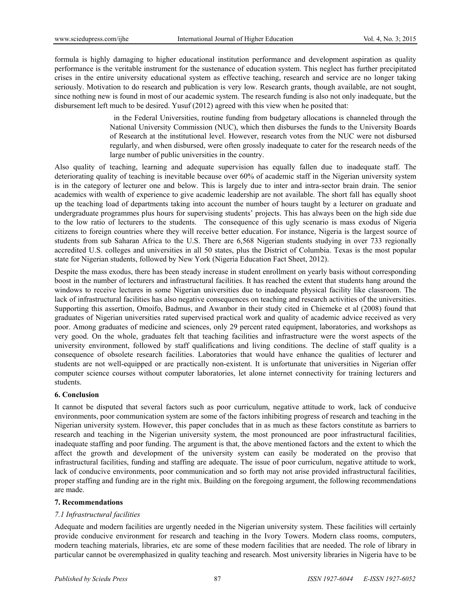formula is highly damaging to higher educational institution performance and development aspiration as quality performance is the veritable instrument for the sustenance of education system. This neglect has further precipitated crises in the entire university educational system as effective teaching, research and service are no longer taking seriously. Motivation to do research and publication is very low. Research grants, though available, are not sought, since nothing new is found in most of our academic system. The research funding is also not only inadequate, but the disbursement left much to be desired. Yusuf (2012) agreed with this view when he posited that:

> in the Federal Universities, routine funding from budgetary allocations is channeled through the National University Commission (NUC), which then disburses the funds to the University Boards of Research at the institutional level. However, research votes from the NUC were not disbursed regularly, and when disbursed, were often grossly inadequate to cater for the research needs of the large number of public universities in the country.

Also quality of teaching, learning and adequate supervision has equally fallen due to inadequate staff. The deteriorating quality of teaching is inevitable because over 60% of academic staff in the Nigerian university system is in the category of lecturer one and below. This is largely due to inter and intra-sector brain drain. The senior academics with wealth of experience to give academic leadership are not available. The short fall has equally shoot up the teaching load of departments taking into account the number of hours taught by a lecturer on graduate and undergraduate programmes plus hours for supervising students' projects. This has always been on the high side due to the low ratio of lecturers to the students. The consequence of this ugly scenario is mass exodus of Nigeria citizens to foreign countries where they will receive better education. For instance, Nigeria is the largest source of students from sub Saharan Africa to the U.S. There are 6,568 Nigerian students studying in over 733 regionally accredited U.S. colleges and universities in all 50 states, plus the District of Columbia. Texas is the most popular state for Nigerian students, followed by New York (Nigeria Education Fact Sheet, 2012).

Despite the mass exodus, there has been steady increase in student enrollment on yearly basis without corresponding boost in the number of lecturers and infrastructural facilities. It has reached the extent that students hang around the windows to receive lectures in some Nigerian universities due to inadequate physical facility like classroom. The lack of infrastructural facilities has also negative consequences on teaching and research activities of the universities. Supporting this assertion, Omoifo, Badmus, and Awanbor in their study cited in Chiemeke et al (2008) found that graduates of Nigerian universities rated supervised practical work and quality of academic advice received as very poor. Among graduates of medicine and sciences, only 29 percent rated equipment, laboratories, and workshops as very good. On the whole, graduates felt that teaching facilities and infrastructure were the worst aspects of the university environment, followed by staff qualifications and living conditions. The decline of staff quality is a consequence of obsolete research facilities. Laboratories that would have enhance the qualities of lecturer and students are not well-equipped or are practically non-existent. It is unfortunate that universities in Nigerian offer computer science courses without computer laboratories, let alone internet connectivity for training lecturers and students.

# **6. Conclusion**

It cannot be disputed that several factors such as poor curriculum, negative attitude to work, lack of conducive environments, poor communication system are some of the factors inhibiting progress of research and teaching in the Nigerian university system. However, this paper concludes that in as much as these factors constitute as barriers to research and teaching in the Nigerian university system, the most pronounced are poor infrastructural facilities, inadequate staffing and poor funding. The argument is that, the above mentioned factors and the extent to which the affect the growth and development of the university system can easily be moderated on the proviso that infrastructural facilities, funding and staffing are adequate. The issue of poor curriculum, negative attitude to work, lack of conducive environments, poor communication and so forth may not arise provided infrastructural facilities, proper staffing and funding are in the right mix. Building on the foregoing argument, the following recommendations are made.

## **7. Recommendations**

## *7.1 Infrastructural facilities*

Adequate and modern facilities are urgently needed in the Nigerian university system. These facilities will certainly provide conducive environment for research and teaching in the Ivory Towers. Modern class rooms, computers, modern teaching materials, libraries, etc are some of these modern facilities that are needed. The role of library in particular cannot be overemphasized in quality teaching and research. Most university libraries in Nigeria have to be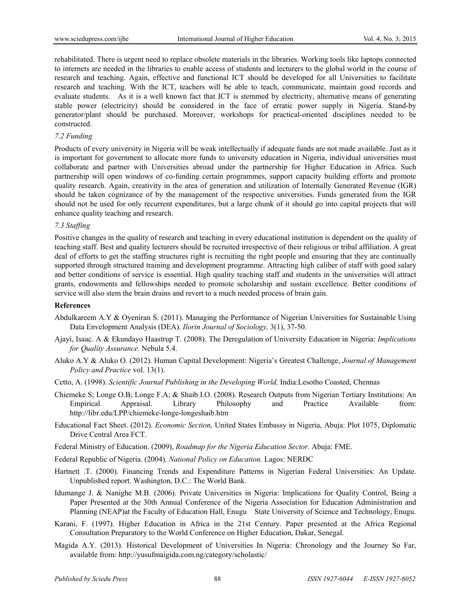rehabilitated. There is urgent need to replace obsolete materials in the libraries. Working tools like laptops connected to internets are needed in the libraries to enable access of students and lecturers to the global world in the course of research and teaching. Again, effective and functional ICT should be developed for all Universities to facilitate research and teaching. With the ICT, teachers will be able to teach, communicate, maintain good records and evaluate students. As it is a well known fact that ICT is stemmed by electricity, alternative means of generating stable power (electricity) should be considered in the face of erratic power supply in Nigeria. Stand-by generator/plant should be purchased. Moreover, workshops for practical-oriented disciplines needed to be constructed.

#### *7.2 Funding*

Products of every university in Nigeria will be weak intellectually if adequate funds are not made available. Just as it is important for government to allocate more funds to university education in Nigeria, individual universities must collaborate and partner with Universities abroad under the partnership for Higher Education in Africa. Such partnership will open windows of co-funding certain programmes, support capacity building efforts and promote quality research. Again, creativity in the area of generation and utilization of Internally Generated Revenue (IGR) should be taken cognizance of by the management of the respective universities. Funds generated from the IGR should not be used for only recurrent expenditures, but a large chunk of it should go into capital projects that will enhance quality teaching and research.

#### *7.3 Staffing*

Positive changes in the quality of research and teaching in every educational institution is dependent on the quality of teaching staff. Best and quality lecturers should be recruited irrespective of their religious or tribal affiliation. A great deal of efforts to get the staffing structures right is recruiting the right people and ensuring that they are continually supported through structured training and development programme. Attracting high caliber of staff with good salary and better conditions of service is essential. High quality teaching staff and students in the universities will attract grants, endowments and fellowships needed to promote scholarship and sustain excellence. Better conditions of service will also stem the brain drains and revert to a much needed process of brain gain.

#### **References**

- Abdulkareem A.Y & Oyeniran S. (2011). Managing the Performance of Nigerian Universities for Sustainable Using Data Envelopment Analysis (DEA). *Ilorin Journal of Sociology,* 3(1), 37-50.
- Ajayi, Isaac. A & Ekundayo Haastrup T. (2008). The Deregulation of University Education in Nigeria: *Implications for Quality Assurance.* Nebula 5.4.
- Aluko A.Y & Aluko O. (2012). Human Capital Development: Nigeria's Greatest Challenge, *Journal of Management Policy and Practice* vol. 13(1).
- Cetto, A. (1998). *Scientific Journal Publishing in the Developing World,* India:Lesotho Coasted, Chennas
- Chiemeke S; Longe O.B; Longe F.A; & Shaib I.O. (2008). Research Outputs from Nigerian Tertiary Institutions: An Empirical Appraisal. Library Philosophy and Practice Available from: http://libr.edu/LPP/chiemeke-longe-longeshaib.htm
- Educational Fact Sheet. (2012). *Economic Section,* United States Embassy in Nigeria, Abuja: Plot 1075, Diplomatic Drive Central Area FCT.
- Federal Ministry of Education. (2009), *Roadmap for the Nigeria Education Sector.* Abuja: FME.
- Federal Republic of Nigeria. (2004). *National Policy on Education.* Lagos: NERDC
- Hartnett .T. (2000). Financing Trends and Expenditure Patterns in Nigerian Federal Universities: An Update. Unpublished report. Washington, D.C.: The World Bank.
- Idumange J. & Nanighe M.B. (2006). Private Universities in Nigeria: Implications for Quality Control, Being a Paper Presented at the 30th Annual Conference of the Nigeria Association for Education Administration and Planning (NEAP)at the Faculty of Education Hall, Enugu State University of Science and Technology, Enugu.
- Karani, F. (1997). Higher Education in Africa in the 21st Century. Paper presented at the Africa Regional Consultation Preparatory to the World Conference on Higher Education, Dakar, Senegal.
- Magida A.Y. (2013). Historical Development of Universities In Nigeria: Chronology and the Journey So Far, available from: http://yusufmaigida.com.ng/category/scholastic/